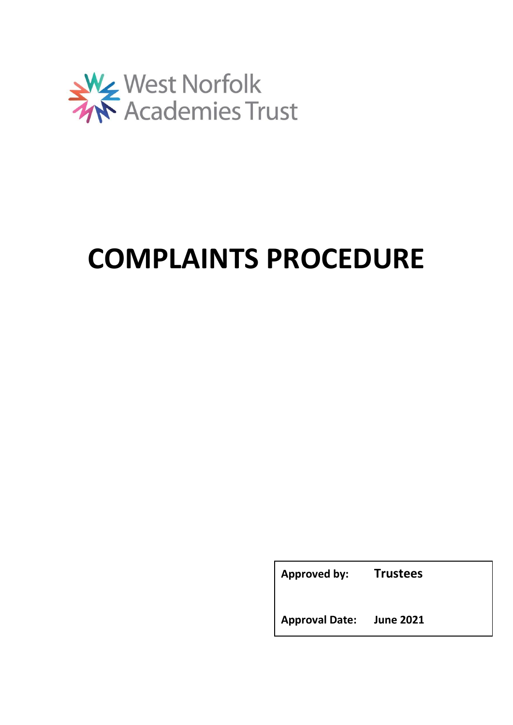

# **COMPLAINTS PROCEDURE**

**Approved by: Trustees**

**Approval Date: June 2021**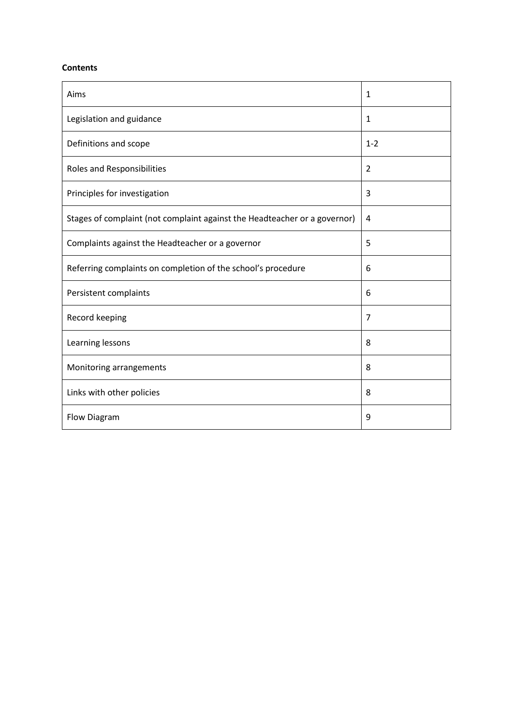## **Contents**

| Aims                                                                      | 1              |
|---------------------------------------------------------------------------|----------------|
| Legislation and guidance                                                  | 1              |
| Definitions and scope                                                     | $1 - 2$        |
| Roles and Responsibilities                                                | 2              |
| Principles for investigation                                              | 3              |
| Stages of complaint (not complaint against the Headteacher or a governor) | 4              |
| Complaints against the Headteacher or a governor                          | 5              |
| Referring complaints on completion of the school's procedure              | 6              |
| Persistent complaints                                                     | 6              |
| Record keeping                                                            | $\overline{7}$ |
| Learning lessons                                                          | 8              |
| Monitoring arrangements                                                   | 8              |
| Links with other policies                                                 | 8              |
| Flow Diagram                                                              | 9              |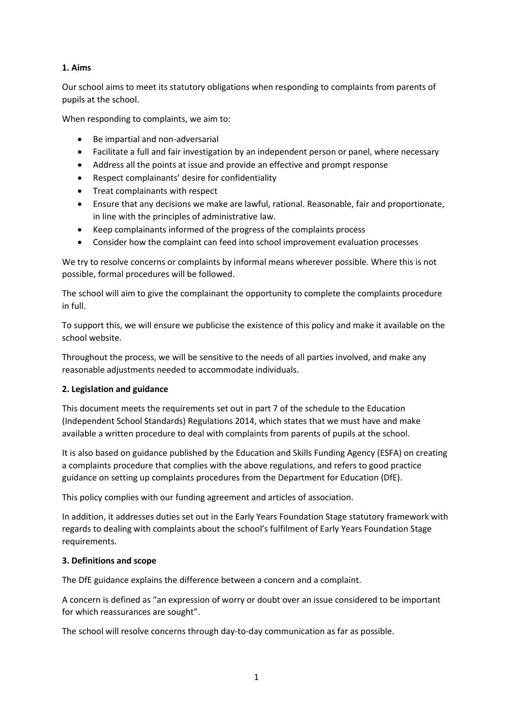# **1. Aims**

Our school aims to meet its statutory obligations when responding to complaints from parents of pupils at the school.

When responding to complaints, we aim to:

- Be impartial and non-adversarial
- Facilitate a full and fair investigation by an independent person or panel, where necessary
- Address all the points at issue and provide an effective and prompt response
- Respect complainants' desire for confidentiality
- Treat complainants with respect
- Ensure that any decisions we make are lawful, rational. Reasonable, fair and proportionate, in line with the principles of administrative law.
- Keep complainants informed of the progress of the complaints process
- Consider how the complaint can feed into school improvement evaluation processes

We try to resolve concerns or complaints by informal means wherever possible. Where this is not possible, formal procedures will be followed.

The school will aim to give the complainant the opportunity to complete the complaints procedure in full.

To support this, we will ensure we publicise the existence of this policy and make it available on the school website.

Throughout the process, we will be sensitive to the needs of all parties involved, and make any reasonable adjustments needed to accommodate individuals.

# **2. Legislation and guidance**

This document meets the requirements set out in part 7 of the schedule to the Education (Independent School Standards) Regulations 2014, which states that we must have and make available a written procedure to deal with complaints from parents of pupils at the school.

It is also based on guidance published by the Education and Skills Funding Agency (ESFA) on creating a complaints procedure that complies with the above regulations, and refers to good practice guidance on setting up complaints procedures from the Department for Education (DfE).

This policy complies with our funding agreement and articles of association.

In addition, it addresses duties set out in the Early Years Foundation Stage statutory framework with regards to dealing with complaints about the school's fulfilment of Early Years Foundation Stage requirements.

# **3. Definitions and scope**

The DfE guidance explains the difference between a concern and a complaint.

A concern is defined as "an expression of worry or doubt over an issue considered to be important for which reassurances are sought".

The school will resolve concerns through day-to-day communication as far as possible.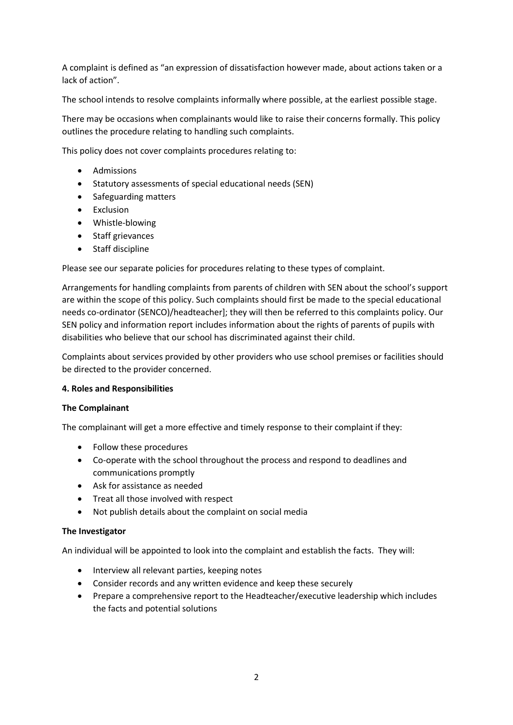A complaint is defined as "an expression of dissatisfaction however made, about actions taken or a lack of action".

The school intends to resolve complaints informally where possible, at the earliest possible stage.

There may be occasions when complainants would like to raise their concerns formally. This policy outlines the procedure relating to handling such complaints.

This policy does not cover complaints procedures relating to:

- Admissions
- Statutory assessments of special educational needs (SEN)
- Safeguarding matters
- Exclusion
- Whistle-blowing
- Staff grievances
- Staff discipline

Please see our separate policies for procedures relating to these types of complaint.

Arrangements for handling complaints from parents of children with SEN about the school's support are within the scope of this policy. Such complaints should first be made to the special educational needs co-ordinator (SENCO)/headteacher]; they will then be referred to this complaints policy. Our SEN policy and information report includes information about the rights of parents of pupils with disabilities who believe that our school has discriminated against their child.

Complaints about services provided by other providers who use school premises or facilities should be directed to the provider concerned.

## **4. Roles and Responsibilities**

## **The Complainant**

The complainant will get a more effective and timely response to their complaint if they:

- Follow these procedures
- Co-operate with the school throughout the process and respond to deadlines and communications promptly
- Ask for assistance as needed
- Treat all those involved with respect
- Not publish details about the complaint on social media

## **The Investigator**

An individual will be appointed to look into the complaint and establish the facts. They will:

- Interview all relevant parties, keeping notes
- Consider records and any written evidence and keep these securely
- Prepare a comprehensive report to the Headteacher/executive leadership which includes the facts and potential solutions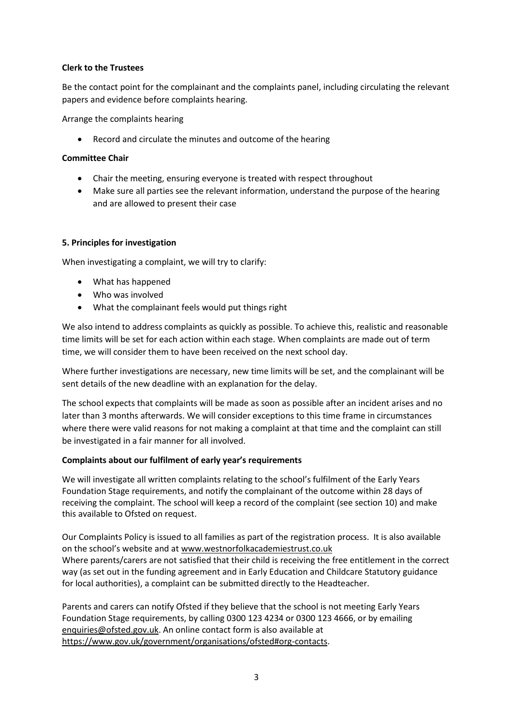# **Clerk to the Trustees**

Be the contact point for the complainant and the complaints panel, including circulating the relevant papers and evidence before complaints hearing.

Arrange the complaints hearing

• Record and circulate the minutes and outcome of the hearing

# **Committee Chair**

- Chair the meeting, ensuring everyone is treated with respect throughout
- Make sure all parties see the relevant information, understand the purpose of the hearing and are allowed to present their case

# **5. Principles for investigation**

When investigating a complaint, we will try to clarify:

- What has happened
- Who was involved
- What the complainant feels would put things right

We also intend to address complaints as quickly as possible. To achieve this, realistic and reasonable time limits will be set for each action within each stage. When complaints are made out of term time, we will consider them to have been received on the next school day.

Where further investigations are necessary, new time limits will be set, and the complainant will be sent details of the new deadline with an explanation for the delay.

The school expects that complaints will be made as soon as possible after an incident arises and no later than 3 months afterwards. We will consider exceptions to this time frame in circumstances where there were valid reasons for not making a complaint at that time and the complaint can still be investigated in a fair manner for all involved.

## **Complaints about our fulfilment of early year's requirements**

We will investigate all written complaints relating to the school's fulfilment of the Early Years Foundation Stage requirements, and notify the complainant of the outcome within 28 days of receiving the complaint. The school will keep a record of the complaint (see section 10) and make this available to Ofsted on request.

Our Complaints Policy is issued to all families as part of the registration process. It is also available on the school's website and at [www.westnorfolkacademiestrust.co.uk](http://www.westnorfolkacademiestrust.co.uk/) Where parents/carers are not satisfied that their child is receiving the free entitlement in the correct way (as set out in the funding agreement and in Early Education and Childcare Statutory guidance for local authorities), a complaint can be submitted directly to the Headteacher.

Parents and carers can notify Ofsted if they believe that the school is not meeting Early Years Foundation Stage requirements, by calling 0300 123 4234 or 0300 123 4666, or by emailing [enquiries@ofsted.gov.uk.](mailto:enquiries@ofsted.gov.uk) An online contact form is also available at [https://www.gov.uk/government/organisations/ofsted#org-contacts.](https://www.gov.uk/government/organisations/ofsted#org-contacts)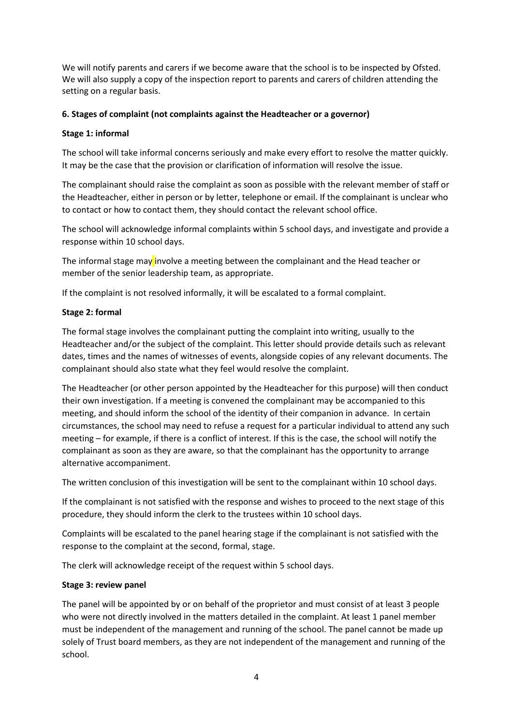We will notify parents and carers if we become aware that the school is to be inspected by Ofsted. We will also supply a copy of the inspection report to parents and carers of children attending the setting on a regular basis.

# **6. Stages of complaint (not complaints against the Headteacher or a governor)**

# **Stage 1: informal**

The school will take informal concerns seriously and make every effort to resolve the matter quickly. It may be the case that the provision or clarification of information will resolve the issue.

The complainant should raise the complaint as soon as possible with the relevant member of staff or the Headteacher, either in person or by letter, telephone or email. If the complainant is unclear who to contact or how to contact them, they should contact the relevant school office.

The school will acknowledge informal complaints within 5 school days, and investigate and provide a response within 10 school days.

The informal stage may involve a meeting between the complainant and the Head teacher or member of the senior leadership team, as appropriate.

If the complaint is not resolved informally, it will be escalated to a formal complaint.

# **Stage 2: formal**

The formal stage involves the complainant putting the complaint into writing, usually to the Headteacher and/or the subject of the complaint. This letter should provide details such as relevant dates, times and the names of witnesses of events, alongside copies of any relevant documents. The complainant should also state what they feel would resolve the complaint.

The Headteacher (or other person appointed by the Headteacher for this purpose) will then conduct their own investigation. If a meeting is convened the complainant may be accompanied to this meeting, and should inform the school of the identity of their companion in advance. In certain circumstances, the school may need to refuse a request for a particular individual to attend any such meeting – for example, if there is a conflict of interest. If this is the case, the school will notify the complainant as soon as they are aware, so that the complainant has the opportunity to arrange alternative accompaniment.

The written conclusion of this investigation will be sent to the complainant within 10 school days.

If the complainant is not satisfied with the response and wishes to proceed to the next stage of this procedure, they should inform the clerk to the trustees within 10 school days.

Complaints will be escalated to the panel hearing stage if the complainant is not satisfied with the response to the complaint at the second, formal, stage.

The clerk will acknowledge receipt of the request within 5 school days.

## **Stage 3: review panel**

The panel will be appointed by or on behalf of the proprietor and must consist of at least 3 people who were not directly involved in the matters detailed in the complaint. At least 1 panel member must be independent of the management and running of the school. The panel cannot be made up solely of Trust board members, as they are not independent of the management and running of the school.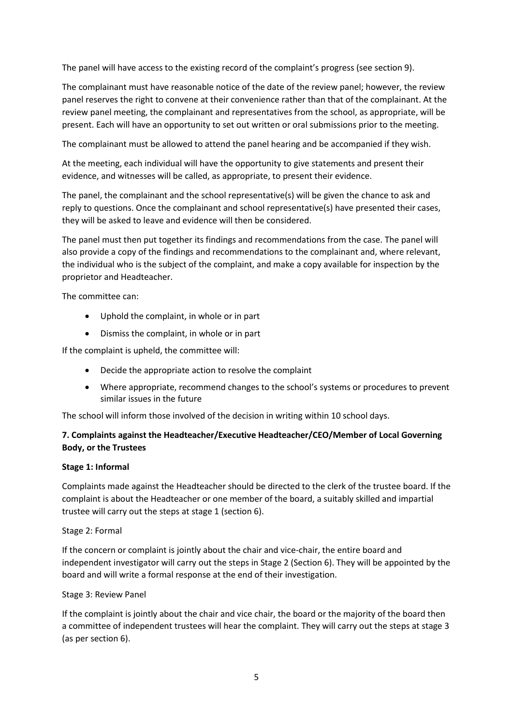The panel will have access to the existing record of the complaint's progress (see section 9).

The complainant must have reasonable notice of the date of the review panel; however, the review panel reserves the right to convene at their convenience rather than that of the complainant. At the review panel meeting, the complainant and representatives from the school, as appropriate, will be present. Each will have an opportunity to set out written or oral submissions prior to the meeting.

The complainant must be allowed to attend the panel hearing and be accompanied if they wish.

At the meeting, each individual will have the opportunity to give statements and present their evidence, and witnesses will be called, as appropriate, to present their evidence.

The panel, the complainant and the school representative(s) will be given the chance to ask and reply to questions. Once the complainant and school representative(s) have presented their cases, they will be asked to leave and evidence will then be considered.

The panel must then put together its findings and recommendations from the case. The panel will also provide a copy of the findings and recommendations to the complainant and, where relevant, the individual who is the subject of the complaint, and make a copy available for inspection by the proprietor and Headteacher.

The committee can:

- Uphold the complaint, in whole or in part
- Dismiss the complaint, in whole or in part

If the complaint is upheld, the committee will:

- Decide the appropriate action to resolve the complaint
- Where appropriate, recommend changes to the school's systems or procedures to prevent similar issues in the future

The school will inform those involved of the decision in writing within 10 school days.

# **7. Complaints against the Headteacher/Executive Headteacher/CEO/Member of Local Governing Body, or the Trustees**

## **Stage 1: Informal**

Complaints made against the Headteacher should be directed to the clerk of the trustee board. If the complaint is about the Headteacher or one member of the board, a suitably skilled and impartial trustee will carry out the steps at stage 1 (section 6).

## Stage 2: Formal

If the concern or complaint is jointly about the chair and vice-chair, the entire board and independent investigator will carry out the steps in Stage 2 (Section 6). They will be appointed by the board and will write a formal response at the end of their investigation.

## Stage 3: Review Panel

If the complaint is jointly about the chair and vice chair, the board or the majority of the board then a committee of independent trustees will hear the complaint. They will carry out the steps at stage 3 (as per section 6).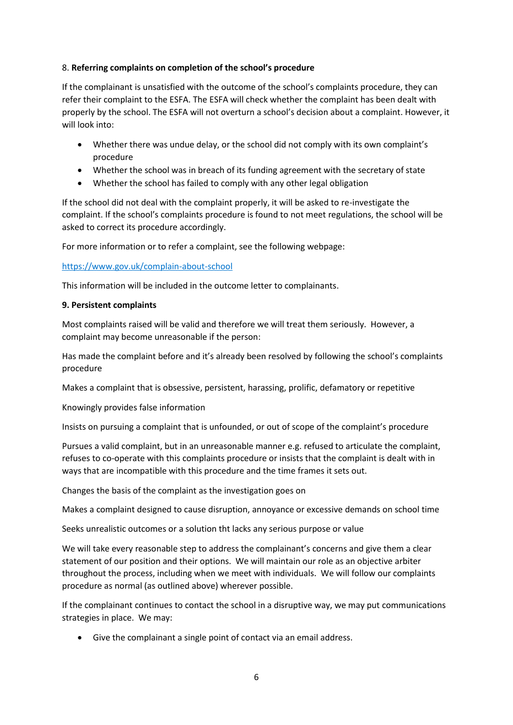# 8. **Referring complaints on completion of the school's procedure**

If the complainant is unsatisfied with the outcome of the school's complaints procedure, they can refer their complaint to the ESFA. The ESFA will check whether the complaint has been dealt with properly by the school. The ESFA will not overturn a school's decision about a complaint. However, it will look into:

- Whether there was undue delay, or the school did not comply with its own complaint's procedure
- Whether the school was in breach of its funding agreement with the secretary of state
- Whether the school has failed to comply with any other legal obligation

If the school did not deal with the complaint properly, it will be asked to re-investigate the complaint. If the school's complaints procedure is found to not meet regulations, the school will be asked to correct its procedure accordingly.

For more information or to refer a complaint, see the following webpage:

<https://www.gov.uk/complain-about-school>

This information will be included in the outcome letter to complainants.

# **9. Persistent complaints**

Most complaints raised will be valid and therefore we will treat them seriously. However, a complaint may become unreasonable if the person:

Has made the complaint before and it's already been resolved by following the school's complaints procedure

Makes a complaint that is obsessive, persistent, harassing, prolific, defamatory or repetitive

Knowingly provides false information

Insists on pursuing a complaint that is unfounded, or out of scope of the complaint's procedure

Pursues a valid complaint, but in an unreasonable manner e.g. refused to articulate the complaint, refuses to co-operate with this complaints procedure or insists that the complaint is dealt with in ways that are incompatible with this procedure and the time frames it sets out.

Changes the basis of the complaint as the investigation goes on

Makes a complaint designed to cause disruption, annoyance or excessive demands on school time

Seeks unrealistic outcomes or a solution tht lacks any serious purpose or value

We will take every reasonable step to address the complainant's concerns and give them a clear statement of our position and their options. We will maintain our role as an objective arbiter throughout the process, including when we meet with individuals. We will follow our complaints procedure as normal (as outlined above) wherever possible.

If the complainant continues to contact the school in a disruptive way, we may put communications strategies in place. We may:

• Give the complainant a single point of contact via an email address.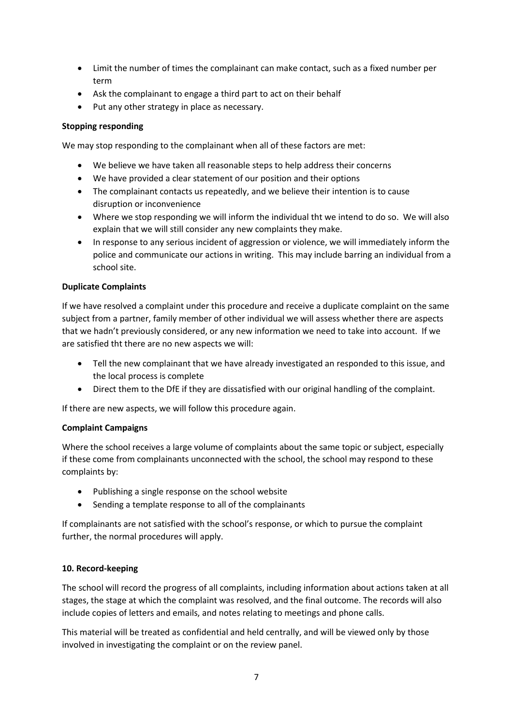- Limit the number of times the complainant can make contact, such as a fixed number per term
- Ask the complainant to engage a third part to act on their behalf
- Put any other strategy in place as necessary.

# **Stopping responding**

We may stop responding to the complainant when all of these factors are met:

- We believe we have taken all reasonable steps to help address their concerns
- We have provided a clear statement of our position and their options
- The complainant contacts us repeatedly, and we believe their intention is to cause disruption or inconvenience
- Where we stop responding we will inform the individual tht we intend to do so. We will also explain that we will still consider any new complaints they make.
- In response to any serious incident of aggression or violence, we will immediately inform the police and communicate our actions in writing. This may include barring an individual from a school site.

# **Duplicate Complaints**

If we have resolved a complaint under this procedure and receive a duplicate complaint on the same subject from a partner, family member of other individual we will assess whether there are aspects that we hadn't previously considered, or any new information we need to take into account. If we are satisfied tht there are no new aspects we will:

- Tell the new complainant that we have already investigated an responded to this issue, and the local process is complete
- Direct them to the DfE if they are dissatisfied with our original handling of the complaint.

If there are new aspects, we will follow this procedure again.

## **Complaint Campaigns**

Where the school receives a large volume of complaints about the same topic or subject, especially if these come from complainants unconnected with the school, the school may respond to these complaints by:

- Publishing a single response on the school website
- Sending a template response to all of the complainants

If complainants are not satisfied with the school's response, or which to pursue the complaint further, the normal procedures will apply.

## **10. Record-keeping**

The school will record the progress of all complaints, including information about actions taken at all stages, the stage at which the complaint was resolved, and the final outcome. The records will also include copies of letters and emails, and notes relating to meetings and phone calls.

This material will be treated as confidential and held centrally, and will be viewed only by those involved in investigating the complaint or on the review panel.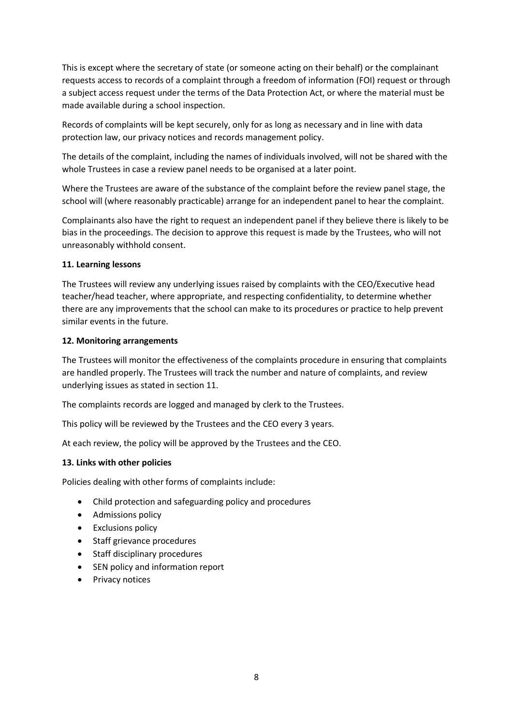This is except where the secretary of state (or someone acting on their behalf) or the complainant requests access to records of a complaint through a freedom of information (FOI) request or through a subject access request under the terms of the Data Protection Act, or where the material must be made available during a school inspection.

Records of complaints will be kept securely, only for as long as necessary and in line with data protection law, our privacy notices and records management policy.

The details of the complaint, including the names of individuals involved, will not be shared with the whole Trustees in case a review panel needs to be organised at a later point.

Where the Trustees are aware of the substance of the complaint before the review panel stage, the school will (where reasonably practicable) arrange for an independent panel to hear the complaint.

Complainants also have the right to request an independent panel if they believe there is likely to be bias in the proceedings. The decision to approve this request is made by the Trustees, who will not unreasonably withhold consent.

## **11. Learning lessons**

The Trustees will review any underlying issues raised by complaints with the CEO/Executive head teacher/head teacher, where appropriate, and respecting confidentiality, to determine whether there are any improvements that the school can make to its procedures or practice to help prevent similar events in the future.

## **12. Monitoring arrangements**

The Trustees will monitor the effectiveness of the complaints procedure in ensuring that complaints are handled properly. The Trustees will track the number and nature of complaints, and review underlying issues as stated in section 11.

The complaints records are logged and managed by clerk to the Trustees.

This policy will be reviewed by the Trustees and the CEO every 3 years.

At each review, the policy will be approved by the Trustees and the CEO.

## **13. Links with other policies**

Policies dealing with other forms of complaints include:

- Child protection and safeguarding policy and procedures
- Admissions policy
- Exclusions policy
- Staff grievance procedures
- Staff disciplinary procedures
- SEN policy and information report
- Privacy notices